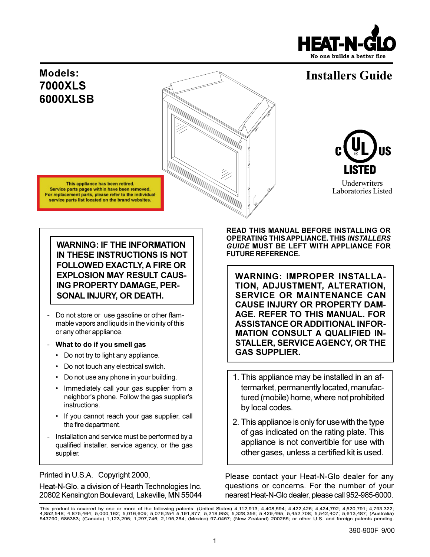

# **Installers Guide**

**Underwriters** Laboratories Listed

# **Models: 7000XLS 6000XLSB**

This appliance has been retired. Service parts pages within have been removed. For replacement parts, please refer to the individual service parts list located on the brand websites.



- Do not store or use gasoline or other flammable vapors and liquids in the vicinity of this or any other appliance.
- **What to do if you smell gas**
	- Do not try to light any appliance.
	- Do not touch any electrical switch.
	- Do not use any phone in your building.
	- Immediately call your gas supplier from a neighbor's phone. Follow the gas supplier's instructions.
	- If you cannot reach your gas supplier, call the fire department.
- Installation and service must be performed by a qualified installer, service agency, or the gas supplier.

Printed in U.S.A. Copyright 2000,

Heat-N-Glo, a division of Hearth Technologies Inc. 20802 Kensington Boulevard, Lakeville, MN 55044 **READ THIS MANUAL BEFORE INSTALLING OR OPERATING THIS APPLIANCE. THIS** *INSTALLERS GUIDE* **MUST BE LEFT WITH APPLIANCE FOR FUTURE REFERENCE.**

**WARNING: IMPROPER INSTALLA-TION, ADJUSTMENT, ALTERATION, SERVICE OR MAINTENANCE CAN CAUSE INJURY OR PROPERTY DAM-AGE. REFER TO THIS MANUAL. FOR ASSISTANCE OR ADDITIONAL INFOR-MATION CONSULT A QUALIFIED IN-STALLER, SERVICE AGENCY, OR THE GAS SUPPLIER.**

- 1. This appliance may be installed in an aftermarket, permanently located, manufactured (mobile) home, where not prohibited by local codes.
- 2. This appliance is only for use with the type of gas indicated on the rating plate. This appliance is not convertible for use with other gases, unless a certified kit is used.

Please contact your Heat-N-Glo dealer for any questions or concerns. For the number of your nearest Heat-N-Glo dealer, please call 952-985-6000.

This product is covered by one or more of the following patents: (United States) 4,112,913; 4,408,594; 4,422,426; 4,424,792; 4,520,791; 4,793,322;<br>4,852,548; 4,875,464; 5,000,162; 5,016,609; 5,076,254 5,191,877; 5,218,953;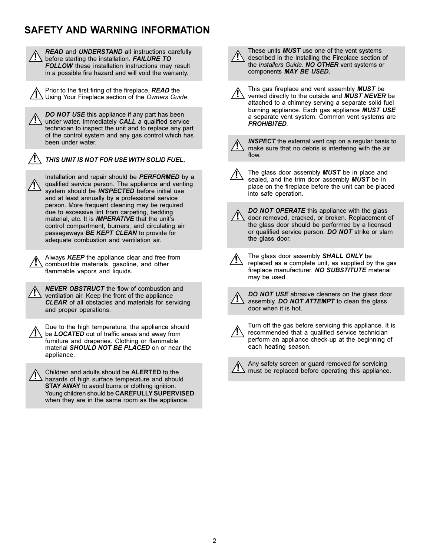# **SAFETY AND WARNING INFORMATION**

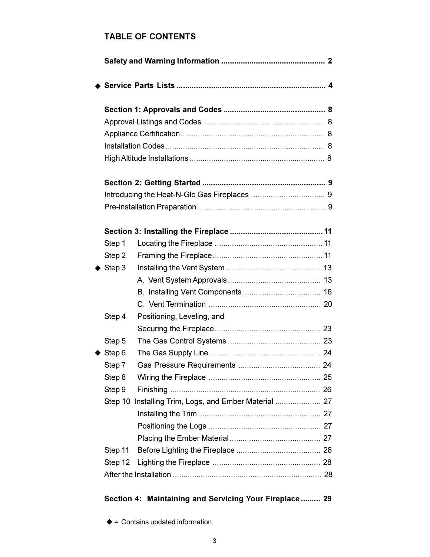# **TABLE OF CONTENTS**

| Step 1                 |                            |  |  |
|------------------------|----------------------------|--|--|
| Step 2                 |                            |  |  |
| $\blacklozenge$ Step 3 |                            |  |  |
|                        |                            |  |  |
|                        |                            |  |  |
|                        |                            |  |  |
| Step 4                 | Positioning, Leveling, and |  |  |
|                        |                            |  |  |
| Step 5                 |                            |  |  |
| $\triangle$ Step 6     |                            |  |  |
| Step 7                 |                            |  |  |
| Step 8                 |                            |  |  |
| Step 9                 |                            |  |  |
|                        |                            |  |  |
|                        |                            |  |  |
|                        |                            |  |  |
|                        |                            |  |  |
| Step 11                |                            |  |  |
| Step 12                |                            |  |  |
|                        |                            |  |  |

# **Section 4: Maintaining and Servicing Your Fireplace ......... 29**

 $\triangleq$  = Contains updated information.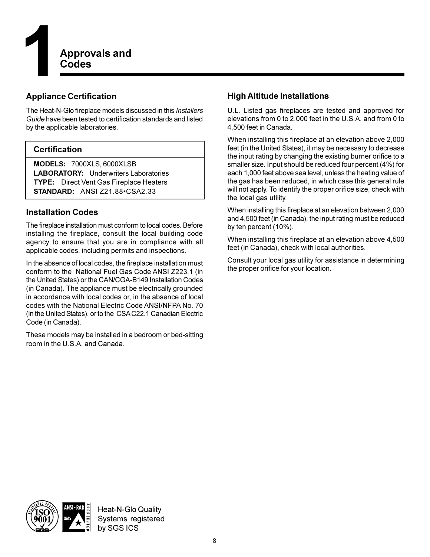

# **Appliance Certification**

The Heat-N-Glo fireplace models discussed in this *Installers Guide* have been tested to certification standards and listed by the applicable laboratories.

# **Certification**

**MODELS:** 7000XLS, 6000XLSB **LABORATORY:** Underwriters Laboratories **TYPE:** Direct Vent Gas Fireplace Heaters **STANDARD: ANSI Z21.88 · CSA2.33** 

# **Installation Codes**

The fireplace installation must conform to local codes. Before installing the fireplace, consult the local building code agency to ensure that you are in compliance with all applicable codes, including permits and inspections.

In the absence of local codes, the fireplace installation must conform to the National Fuel Gas Code ANSI Z223.1 (in the United States) or the CAN/CGA-B149 Installation Codes (in Canada). The appliance must be electrically grounded in accordance with local codes or, in the absence of local codes with the National Electric Code ANSI/NFPA No. 70 (in the United States), or to the CSA C22.1 Canadian Electric Code (in Canada).

These models may be installed in a bedroom or bed-sitting room in the U.S.A. and Canada.

# **High Altitude Installations**

U.L. Listed gas fireplaces are tested and approved for elevations from 0 to 2,000 feet in the U.S.A. and from 0 to 4,500 feet in Canada.

When installing this fireplace at an elevation above 2,000 feet (in the United States), it may be necessary to decrease the input rating by changing the existing burner orifice to a smaller size. Input should be reduced four percent (4%) for each 1,000 feet above sea level, unless the heating value of the gas has been reduced, in which case this general rule will not apply. To identify the proper orifice size, check with the local gas utility.

When installing this fireplace at an elevation between 2,000 and 4,500 feet (in Canada), the input rating must be reduced by ten percent (10%).

When installing this fireplace at an elevation above 4,500 feet (in Canada), check with local authorities.

Consult your local gas utility for assistance in determining the proper orifice for your location.

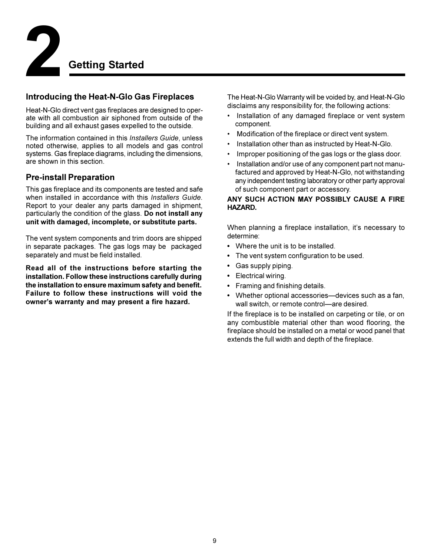

# **Introducing the Heat-N-Glo Gas Fireplaces**

Heat-N-Glo direct vent gas fireplaces are designed to operate with all combustion air siphoned from outside of the building and all exhaust gases expelled to the outside.

The information contained in this *Installers Guide*, unless noted otherwise, applies to all models and gas control systems. Gas fireplace diagrams, including the dimensions, are shown in this section.

# **Pre-install Preparation**

This gas fireplace and its components are tested and safe when installed in accordance with this *Installers Guide*. Report to your dealer any parts damaged in shipment, particularly the condition of the glass. **Do not install any unit with damaged, incomplete, or substitute parts.**

The vent system components and trim doors are shipped in separate packages. The gas logs may be packaged separately and must be field installed.

**Read all of the instructions before starting the installation. Follow these instructions carefully during the installation to ensure maximum safety and benefit. Failure to follow these instructions will void the** owner's warranty and may present a fire hazard.

The Heat-N-Glo Warranty will be voided by, and Heat-N-Glo disclaims any responsibility for, the following actions:

- Installation of any damaged fireplace or vent system component.
- Modification of the fireplace or direct vent system.
- Installation other than as instructed by Heat-N-Glo.
- Improper positioning of the gas logs or the glass door.
- Installation and/or use of any component part not manufactured and approved by Heat-N-Glo, not withstanding any independent testing laboratory or other party approval of such component part or accessory.

### **ANY SUCH ACTION MAY POSSIBLY CAUSE A FIRE HAZARD.**

When planning a fireplace installation, it's necessary to determine:

- Where the unit is to be installed.
- The vent system configuration to be used.
- Gas supply piping.
- Electrical wiring.
- Framing and finishing details.
- Whether optional accessories-devices such as a fan, wall switch, or remote control-are desired.

If the fireplace is to be installed on carpeting or tile, or on any combustible material other than wood flooring, the fireplace should be installed on a metal or wood panel that extends the full width and depth of the fireplace.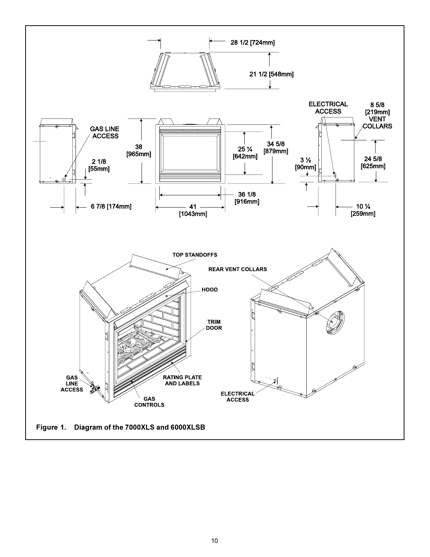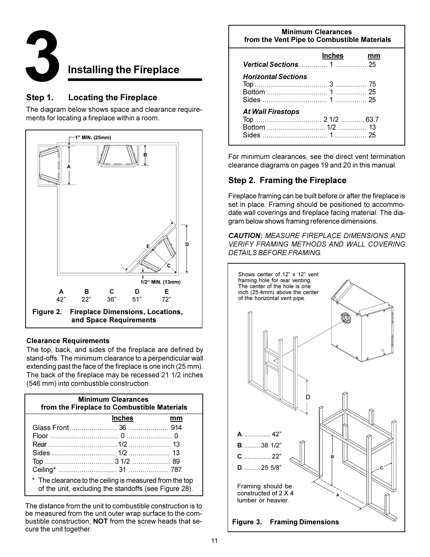

# **3Installing the Fireplace**

# **Step 1. Locating the Fireplace**

The diagram below shows space and clearance requirements for locating a fireplace within a room.



### **Clearance Requirements**

The top, back, and sides of the fireplace are defined by stand-offs. The minimum clearance to a perpendicular wall extending past the face of the fireplace is one inch (25 mm). The back of the fireplace may be recessed 21 1/2 inches (546 mm) into combustible construction.

| <b>Minimum Clearances</b><br>from the Fireplace to Combustible Materials                                         |               |    |  |  |  |
|------------------------------------------------------------------------------------------------------------------|---------------|----|--|--|--|
|                                                                                                                  | <b>Inches</b> | mm |  |  |  |
|                                                                                                                  |               |    |  |  |  |
|                                                                                                                  |               |    |  |  |  |
|                                                                                                                  |               |    |  |  |  |
|                                                                                                                  |               |    |  |  |  |
|                                                                                                                  |               |    |  |  |  |
|                                                                                                                  |               |    |  |  |  |
| * The clearance to the ceiling is measured from the top<br>of the unit, excluding the standoffs (see Figure 28). |               |    |  |  |  |

The distance from the unit to combustible construction is to be measured from the unit outer wrap surface to the combustible construction, **NOT** from the screw heads that secure the unit together.

| <b>Minimum Clearances</b><br>from the Vent Pipe to Combustible Materials |        |    |  |  |  |
|--------------------------------------------------------------------------|--------|----|--|--|--|
| <b>Vertical Sections.  1  25</b>                                         | Inches | mm |  |  |  |
| <b>Horizontal Sections</b>                                               |        |    |  |  |  |
| <b>At Wall Firestops</b>                                                 |        |    |  |  |  |

For minimum clearances, see the direct vent termination clearance diagrams on pages 19 and 20 in this manual.

# **Step 2. Framing the Fireplace**

Fireplace framing can be built before or after the fireplace is set in place. Framing should be positioned to accommodate wall coverings and fireplace facing material. The diagram below shows framing reference dimensions.

*CAUTION: MEASURE FIREPLACE DIMENSIONS AND VERIFY FRAMING METHODS AND WALL COVERING DETAILS BEFORE FRAMING.*

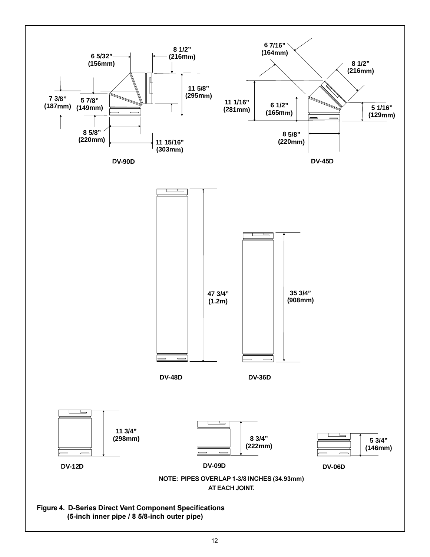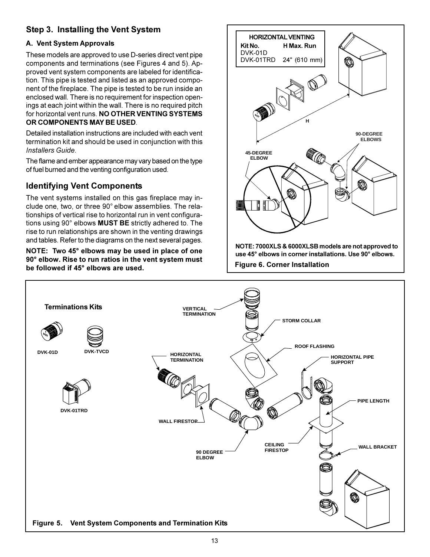# **Step 3. Installing the Vent System**

### **A. Vent System Approvals**

These models are approved to use D-series direct vent pipe components and terminations (see Figures 4 and 5). Approved vent system components are labeled for identification. This pipe is tested and listed as an approved component of the fireplace. The pipe is tested to be run inside an enclosed wall. There is no requirement for inspection openings at each joint within the wall. There is no required pitch for horizontal vent runs. **NO OTHER VENTING SYSTEMS OR COMPONENTS MAY BE USED**.

Detailed installation instructions are included with each vent termination kit and should be used in conjunction with this *Installers Guide*.

The flame and ember appearance may vary based on the type of fuel burned and the venting configuration used.

# **Identifying Vent Components**

The vent systems installed on this gas fireplace may include one, two, or three 90° elbow assemblies. The relationships of vertical rise to horizontal run in vent configurations using 90° elbows **MUST BE** strictly adhered to. The rise to run relationships are shown in the venting drawings and tables. Refer to the diagrams on the next several pages.

**NOTE: Two 45° elbows may be used in place of one 90° elbow. Rise to run ratios in the vent system must be followed if 45° elbows are used.**



**NOTE: 7000XLS & 6000XLSB models are not approved to use 45° elbows in corner installations. Use 90° elbows.**

**Figure 6. Corner Installation**

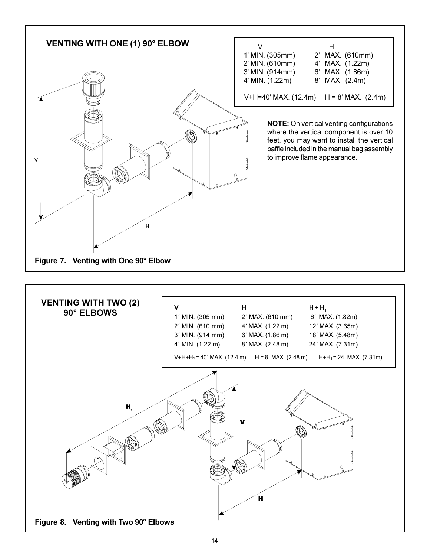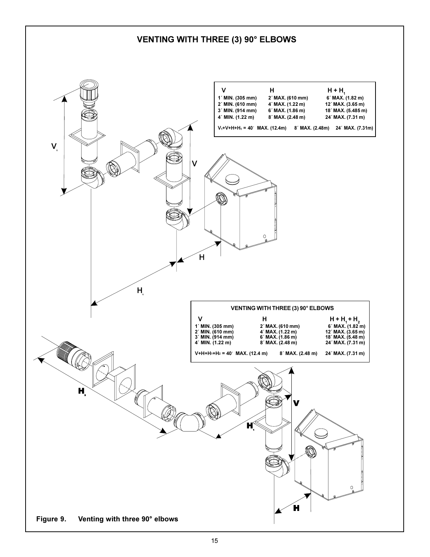# **VENTING WITH THREE (3) 90° ELBOWS**

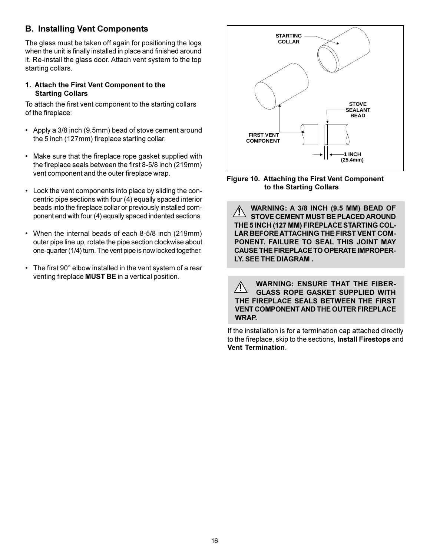# **B. Installing Vent Components**

The glass must be taken off again for positioning the logs when the unit is finally installed in place and finished around it. Re-install the glass door. Attach vent system to the top starting collars.

### **1. Attach the First Vent Component to the Starting Collars**

To attach the first vent component to the starting collars of the fireplace:

- Apply a 3/8 inch (9.5mm) bead of stove cement around the 5 inch (127mm) fireplace starting collar.
- Make sure that the fireplace rope gasket supplied with the fireplace seals between the first 8-5/8 inch (219mm) vent component and the outer fireplace wrap.
- Lock the vent components into place by sliding the concentric pipe sections with four (4) equally spaced interior beads into the fireplace collar or previously installed component end with four (4) equally spaced indented sections.
- When the internal beads of each 8-5/8 inch (219mm) outer pipe line up, rotate the pipe section clockwise about one-quarter (1/4) turn. The vent pipe is now locked together.
- The first 90° elbow installed in the vent system of a rear venting fireplace **MUST BE** in a vertical position.



**Figure 10. Attaching the First Vent Component to the Starting Collars**

**! WARNING: A 3/8 INCH (9.5 MM) BEAD OF STOVE CEMENT MUST BE PLACED AROUND THE 5 INCH (127 MM) FIREPLACE STARTING COL-LAR BEFORE ATTACHING THE FIRST VENT COM-PONENT. FAILURE TO SEAL THIS JOINT MAY CAUSE THE FIREPLACE TO OPERATE IMPROPER-LY. SEE THE DIAGRAM .**

**WARNING: ENSURE THAT THE FIBER-**<br>CLASS BOBE CASKET SUBBLIED WITH **GLASS ROPE GASKET SUPPLIED WITH THE FIREPLACE SEALS BETWEEN THE FIRST VENT COMPONENT AND THE OUTER FIREPLACE WRAP.**

If the installation is for a termination cap attached directly to the fireplace, skip to the sections, **Install Firestops** and **Vent Termination**.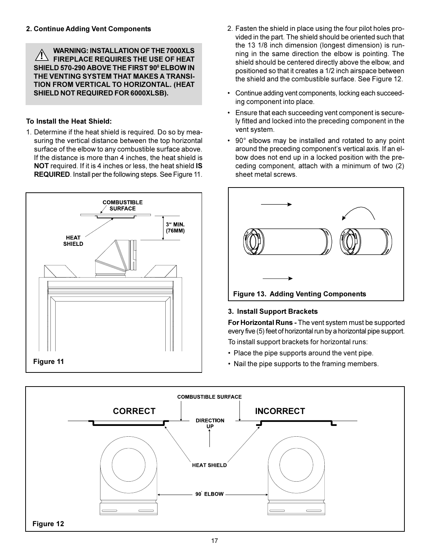**WARNING: INSTALLATION OF THE 7000XLS FIREPLACE REQUIRES THE USE OF HEAT SHIELD 570-290 ABOVE THE FIRST 90<sup>0</sup> ELBOW IN THE VENTING SYSTEM THAT MAKES A TRANSI-TION FROM VERTICAL TO HORIZONTAL. (HEAT SHIELD NOT REQUIRED FOR 6000XLSB). !**

### **To Install the Heat Shield:**

1. Determine if the heat shield is required. Do so by measuring the vertical distance between the top horizontal surface of the elbow to any combustible surface above. If the distance is more than 4 inches, the heat shield is **NOT** required. If it is 4 inches or less, the heat shield **IS REQUIRED**. Install per the following steps. See Figure 11.



- 2. Fasten the shield in place using the four pilot holes provided in the part. The shield should be oriented such that the 13 1/8 inch dimension (longest dimension) is running in the same direction the elbow is pointing. The shield should be centered directly above the elbow, and positioned so that it creates a 1/2 inch airspace between the shield and the combustible surface. See Figure 12.
- Continue adding vent components, locking each succeeding component into place.
- Ensure that each succeeding vent component is securely fitted and locked into the preceding component in the vent system.
- 90° elbows may be installed and rotated to any point around the preceding component's vertical axis. If an elbow does not end up in a locked position with the preceding component, attach with a minimum of two (2) sheet metal screws.



# **3. Install Support Brackets**

**For Horizontal Runs -** The vent system must be supported every five (5) feet of horizontal run by a horizontal pipe support.

To install support brackets for horizontal runs:

- Place the pipe supports around the vent pipe.
- Nail the pipe supports to the framing members.

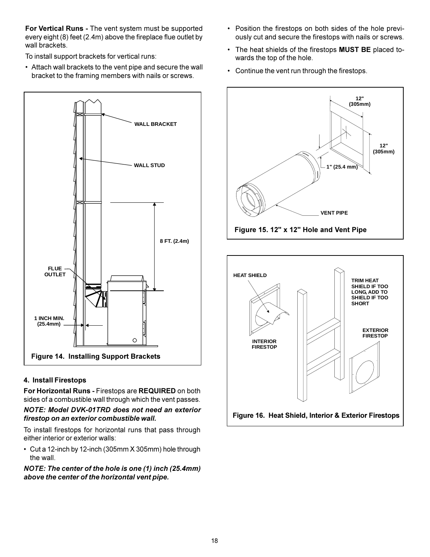**For Vertical Runs -** The vent system must be supported every eight (8) feet (2.4m) above the fireplace flue outlet by wall brackets.

To install support brackets for vertical runs:

 Attach wall brackets to the vent pipe and secure the wall bracket to the framing members with nails or screws.



### **4. Install Firestops**

**For Horizontal Runs -** Firestops are **REQUIRED** on both sides of a combustible wall through which the vent passes.

*NOTE: Model DVK-01TRD does not need an exterior firestop on an exterior combustible wall.*

To install firestops for horizontal runs that pass through either interior or exterior walls:

 Cut a 12-inch by 12-inch (305mm X 305mm) hole through the wall.

*NOTE: The center of the hole is one (1) inch (25.4mm) above the center of the horizontal vent pipe.*

- Position the firestops on both sides of the hole previously cut and secure the firestops with nails or screws.
- The heat shields of the firestops **MUST BE** placed towards the top of the hole.
- Continue the vent run through the firestops.



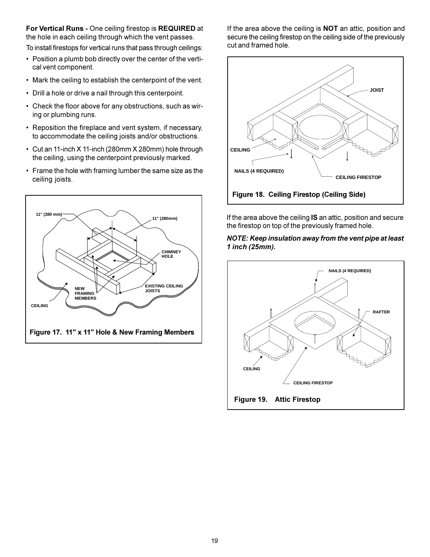**For Vertical Runs -** One ceiling firestop is **REQUIRED** at the hole in each ceiling through which the vent passes.

To install firestops for vertical runs that pass through ceilings:

- Position a plumb bob directly over the center of the vertical vent component.
- Mark the ceiling to establish the centerpoint of the vent.
- Drill a hole or drive a nail through this centerpoint.
- Check the floor above for any obstructions, such as wiring or plumbing runs.
- Reposition the fireplace and vent system, if necessary, to accommodate the ceiling joists and/or obstructions.
- Cut an 11-inch X 11-inch (280mm X 280mm) hole through the ceiling, using the centerpoint previously marked.
- Frame the hole with framing lumber the same size as the ceiling joists.



If the area above the ceiling is **NOT** an attic, position and secure the ceiling firestop on the ceiling side of the previously cut and framed hole.



If the area above the ceiling **IS** an attic, position and secure the firestop on top of the previously framed hole.

### *NOTE: Keep insulation away from the vent pipe at least 1 inch (25mm).*

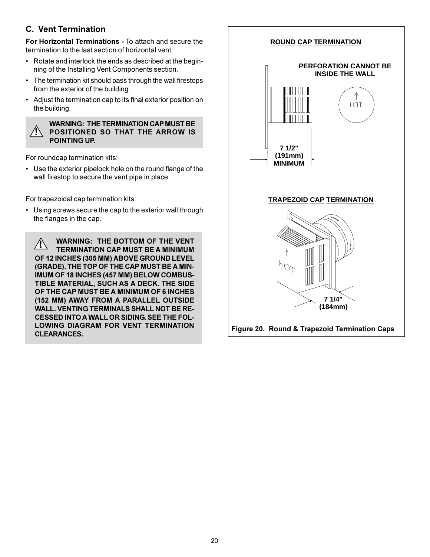# **C. Vent Termination**

**For Horizontal Terminations -** To attach and secure the termination to the last section of horizontal vent:

- Rotate and interlock the ends as described at the beginning of the Installing Vent Components section.
- The termination kit should pass through the wall firestops from the exterior of the building.
- Adjust the termination cap to its final exterior position on the building.

### **! WARNING: THE TERMINATION CAP MUST BE POSITIONED SO THAT THE ARROW IS POINTING UP.**

For roundcap termination kits:

 Use the exterior pipelock hole on the round flange of the wall firestop to secure the vent pipe in place.

For trapezoidal cap termination kits:

 Using screws secure the cap to the exterior wall through the flanges in the cap.

**WARNING: THE BOTTOM OF THE VENT**<br> **TEDMINATION 210 MUST BE A RUILLING TERMINATION CAP MUST BE A MINIMUM OF 12 INCHES (305 MM) ABOVE GROUND LEVEL (GRADE). THE TOP OF THE CAP MUST BE A MIN-IMUM OF 18 INCHES (457 MM) BELOW COMBUS-TIBLE MATERIAL, SUCH AS A DECK. THE SIDE OF THE CAP MUST BE A MINIMUM OF 6 INCHES (152 MM) AWAY FROM A PARALLEL OUTSIDE WALL. VENTING TERMINALS SHALL NOT BE RE-CESSED INTO A WALL OR SIDING. SEE THE FOL-LOWING DIAGRAM FOR VENT TERMINATION CLEARANCES.**

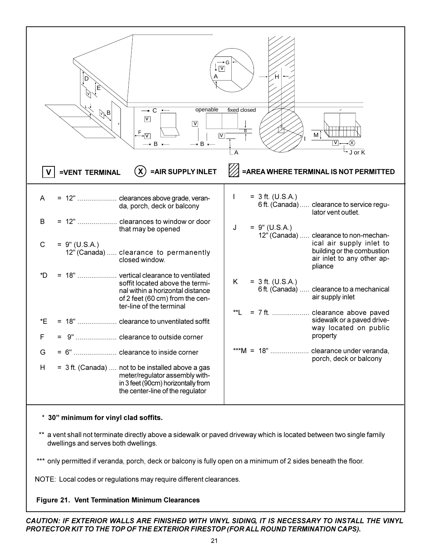

### \* **30 minimum for vinyl clad soffits.**

 \*\* a vent shall not terminate directly above a sidewalk or paved driveway which is located between two single family dwellings and serves both dwellings.

\*\*\* only permitted if veranda, porch, deck or balcony is fully open on a minimum of 2 sides beneath the floor.

NOTE: Local codes or regulations may require different clearances.

### **Figure 21. Vent Termination Minimum Clearances**

*CAUTION: IF EXTERIOR WALLS ARE FINISHED WITH VINYL SIDING, IT IS NECESSARY TO INSTALL THE VINYL PROTECTOR KIT TO THE TOP OF THE EXTERIOR FIRESTOP (FOR ALL ROUND TERMINATION CAPS).*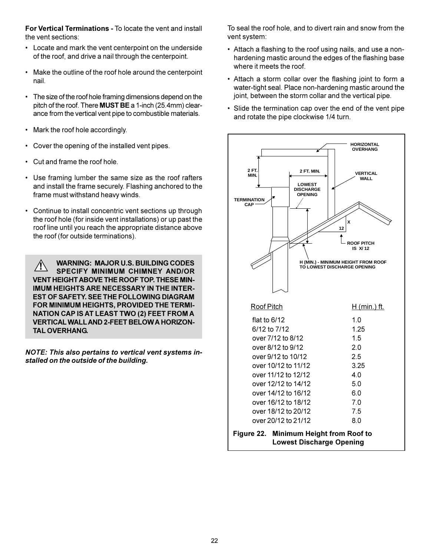**For Vertical Terminations -** To locate the vent and install the vent sections:

- Locate and mark the vent centerpoint on the underside of the roof, and drive a nail through the centerpoint.
- Make the outline of the roof hole around the centerpoint nail.
- The size of the roof hole framing dimensions depend on the pitch of the roof. There **MUST BE** a 1-inch (25.4mm) clearance from the vertical vent pipe to combustible materials.
- Mark the roof hole accordingly.
- Cover the opening of the installed vent pipes.
- Cut and frame the roof hole.
- Use framing lumber the same size as the roof rafters and install the frame securely. Flashing anchored to the frame must withstand heavy winds.
- Continue to install concentric vent sections up through the roof hole (for inside vent installations) or up past the roof line until you reach the appropriate distance above the roof (for outside terminations).

**WARNING: MAJOR U.S. BUILDING CODES SPECIFY MINIMUM CHIMNEY AND/OR VENT HEIGHT ABOVE THE ROOF TOP. THESE MIN-IMUM HEIGHTS ARE NECESSARY IN THE INTER-EST OF SAFETY. SEE THE FOLLOWING DIAGRAM FOR MINIMUM HEIGHTS, PROVIDED THE TERMI-NATION CAP IS AT LEAST TWO (2) FEET FROM A VERTICAL WALL AND 2-FEET BELOW A HORIZON-TAL OVERHANG. !**

*NOTE: This also pertains to vertical vent systems installed on the outside of the building.*

To seal the roof hole, and to divert rain and snow from the vent system:

- Attach a flashing to the roof using nails, and use a nonhardening mastic around the edges of the flashing base where it meets the roof.
- Attach a storm collar over the flashing joint to form a water-tight seal. Place non-hardening mastic around the joint, between the storm collar and the vertical pipe.
- Slide the termination cap over the end of the vent pipe and rotate the pipe clockwise 1/4 turn.

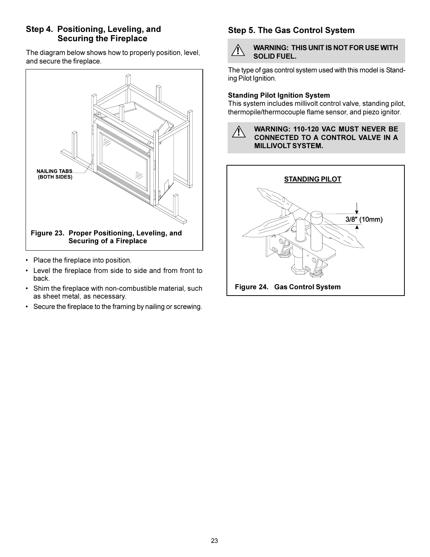# **Step 4. Positioning, Leveling, and Securing the Fireplace**

The diagram below shows how to properly position, level, and secure the fireplace.



- Place the fireplace into position.
- Level the fireplace from side to side and from front to back.
- Shim the fireplace with non-combustible material, such as sheet metal, as necessary.
- Secure the fireplace to the framing by nailing or screwing.

# **Step 5. The Gas Control System**



The type of gas control system used with this model is Standing Pilot Ignition.

### **Standing Pilot Ignition System**

This system includes millivolt control valve, standing pilot, thermopile/thermocouple flame sensor, and piezo ignitor.



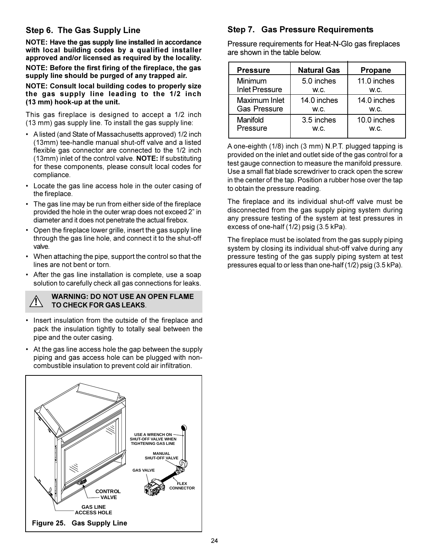# **Step 6. The Gas Supply Line**

**NOTE: Have the gas supply line installed in accordance with local building codes by a qualified installer approved and/or licensed as required by the locality.**

**NOTE: Before the first firing of the fireplace, the gas supply line should be purged of any trapped air.**

**NOTE: Consult local building codes to properly size the gas supply line leading to the 1/2 inch (13 mm) hook-up at the unit.**

This gas fireplace is designed to accept a 1/2 inch (13 mm) gas supply line. To install the gas supply line:

- A listed (and State of Massachusetts approved) 1/2 inch (13mm) tee-handle manual shut-off valve and a listed flexible gas connector are connected to the 1/2 inch (13mm) inlet of the control valve. **NOTE:** If substituting for these components, please consult local codes for compliance.
- Locate the gas line access hole in the outer casing of the fireplace.
- The gas line may be run from either side of the fireplace provided the hole in the outer wrap does not exceed 2" in diameter and it does not penetrate the actual firebox.
- Open the fireplace lower grille, insert the gas supply line through the gas line hole, and connect it to the shut-off valve.
- When attaching the pipe, support the control so that the lines are not bent or torn.
- After the gas line installation is complete, use a soap solution to carefully check all gas connections for leaks.

### **WARNING: DO NOT USE AN OPEN FLAME TO CHECK FOR GAS LEAKS**. **!**

- Insert insulation from the outside of the fireplace and pack the insulation tightly to totally seal between the pipe and the outer casing.
- At the gas line access hole the gap between the supply piping and gas access hole can be plugged with noncombustible insulation to prevent cold air infiltration.



# **Step 7. Gas Pressure Requirements**

Pressure requirements for Heat-N-Glo gas fireplaces are shown in the table below.

| <b>Pressure</b>       | <b>Natural Gas</b> | <b>Propane</b> |
|-----------------------|--------------------|----------------|
| Minimum               | 5.0 inches         | 11.0 inches    |
| <b>Inlet Pressure</b> | W.C.               | W.C.           |
| Maximum Inlet         | 14.0 inches        | 14.0 inches    |
| <b>Gas Pressure</b>   | W.C.               | W.C.           |
| Manifold              | 3.5 inches         | 10.0 inches    |
| Pressure              | W.C.               | W.C.           |

A one-eighth (1/8) inch (3 mm) N.P.T. plugged tapping is provided on the inlet and outlet side of the gas control for a test gauge connection to measure the manifold pressure. Use a small flat blade screwdriver to crack open the screw in the center of the tap. Position a rubber hose over the tap to obtain the pressure reading.

The fireplace and its individual shut-off valve must be disconnected from the gas supply piping system during any pressure testing of the system at test pressures in excess of one-half (1/2) psig (3.5 kPa).

The fireplace must be isolated from the gas supply piping system by closing its individual shut-off valve during any pressure testing of the gas supply piping system at test pressures equal to or less than one-half (1/2) psig (3.5 kPa).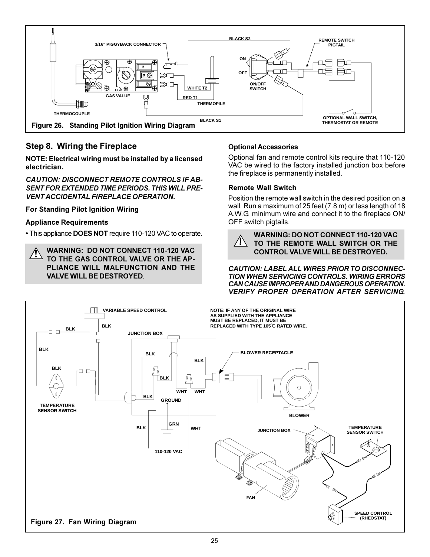

# **Step 8. Wiring the Fireplace**

**NOTE: Electrical wiring must be installed by a licensed electrician.**

*CAUTION: DISCONNECT REMOTE CONTROLS IF AB-SENT FOR EXTENDED TIME PERIODS. THIS WILL PRE-VENT ACCIDENTAL FIREPLACE OPERATION.*

**For Standing Pilot Ignition Wiring**

### **Appliance Requirements**

This appliance **DOES NOT** require 110-120 VAC to operate.

**WARNING: DO NOT CONNECT 110-120 VAC TO THE GAS CONTROL VALVE OR THE AP-PLIANCE WILL MALFUNCTION AND THE VALVE WILL BE DESTROYED**. **!**

### **Optional Accessories**

Optional fan and remote control kits require that 110-120 VAC be wired to the factory installed junction box before the fireplace is permanently installed.

### **Remote Wall Switch**

Position the remote wall switch in the desired position on a wall. Run a maximum of 25 feet (7.8 m) or less length of 18 A.W.G. minimum wire and connect it to the fireplace ON/ OFF switch pigtails.



**WARNING: DO NOT CONNECT 110-120 VAC TO THE REMOTE WALL SWITCH OR THE CONTROL VALVE WILL BE DESTROYED.**

*CAUTION: LABEL ALL WIRES PRIOR TO DISCONNEC-TION WHEN SERVICING CONTROLS. WIRING ERRORS CAN CAUSE IMPROPER AND DANGEROUS OPERATION. VERIFY PROPER OPERATION AFTER SERVICING.*

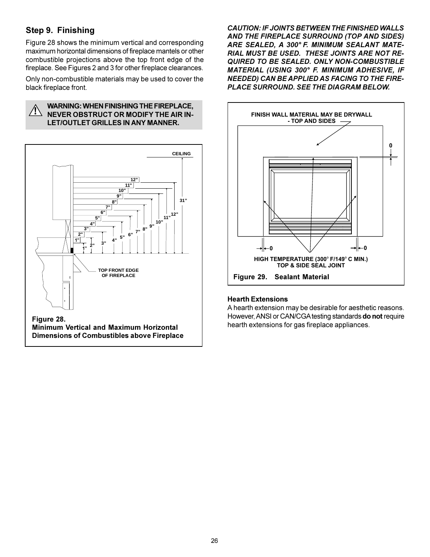# **Step 9. Finishing**

Figure 28 shows the minimum vertical and corresponding maximum horizontal dimensions of fireplace mantels or other combustible projections above the top front edge of the fireplace. See Figures 2 and 3 for other fireplace clearances.

Only non-combustible materials may be used to cover the black fireplace front.



### **WARNING: WHEN FINISHING THE FIREPLACE, NEVER OBSTRUCT OR MODIFY THE AIR IN-! LET/OUTLET GRILLES IN ANY MANNER.**



**Figure 28. Minimum Vertical and Maximum Horizontal Dimensions of Combustibles above Fireplace**

*CAUTION: IF JOINTS BETWEEN THE FINISHED WALLS AND THE FIREPLACE SURROUND (TOP AND SIDES) ARE SEALED, A 300° F. MINIMUM SEALANT MATE-RIAL MUST BE USED. THESE JOINTS ARE NOT RE-QUIRED TO BE SEALED. ONLY NON-COMBUSTIBLE MATERIAL (USING 300° F. MINIMUM ADHESIVE, IF NEEDED) CAN BE APPLIED AS FACING TO THE FIRE-PLACE SURROUND. SEE THE DIAGRAM BELOW.*



### **Hearth Extensions**

A hearth extension may be desirable for aesthetic reasons. However, ANSI or CAN/CGA testing standards **do not** require hearth extensions for gas fireplace appliances.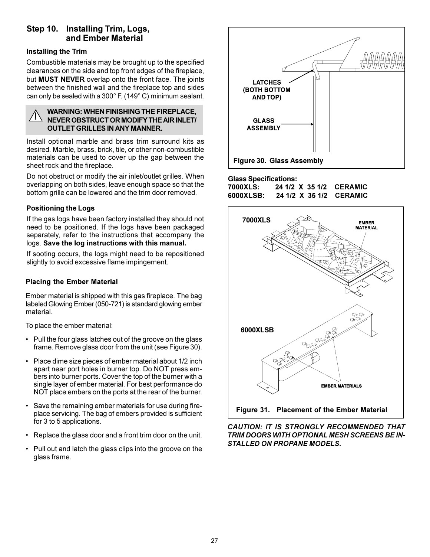# **Step 10. Installing Trim, Logs, and Ember Material**

### **Installing the Trim**

Combustible materials may be brought up to the specified clearances on the side and top front edges of the fireplace, but **MUST NEVER** overlap onto the front face. The joints between the finished wall and the fireplace top and sides can only be sealed with a 300° F. (149° C) minimum sealant.

### **WARNING: WHEN FINISHING THE FIREPLACE, NEVER OBSTRUCT OR MODIFY THE AIR INLET/ OUTLET GRILLES IN ANY MANNER. !**

Install optional marble and brass trim surround kits as desired. Marble, brass, brick, tile, or other non-combustible materials can be used to cover up the gap between the sheet rock and the fireplace.

Do not obstruct or modify the air inlet/outlet grilles. When overlapping on both sides, leave enough space so that the bottom grille can be lowered and the trim door removed.

### **Positioning the Logs**

If the gas logs have been factory installed they should not need to be positioned. If the logs have been packaged separately, refer to the instructions that accompany the logs. **Save the log instructions with this manual.**

If sooting occurs, the logs might need to be repositioned slightly to avoid excessive flame impingement.

### **Placing the Ember Material**

Ember material is shipped with this gas fireplace. The bag labeled Glowing Ember (050-721) is standard glowing ember material.

To place the ember material:

- Pull the four glass latches out of the groove on the glass frame. Remove glass door from the unit (see Figure 30).
- Place dime size pieces of ember material about 1/2 inch apart near port holes in burner top. Do NOT press embers into burner ports. Cover the top of the burner with a single layer of ember material. For best performance do NOT place embers on the ports at the rear of the burner.
- Save the remaining ember materials for use during fireplace servicing. The bag of embers provided is sufficient for 3 to 5 applications.
- Replace the glass door and a front trim door on the unit.
- Pull out and latch the glass clips into the groove on the glass frame.



### **Glass Specifications:**

**7000XLS: 24 1/2 X 35 1/2 CERAMIC 6000XLSB: 24 1/2 X 35 1/2 CERAMIC**



*CAUTION: IT IS STRONGLY RECOMMENDED THAT*

*TRIM DOORS WITH OPTIONAL MESH SCREENS BE IN-STALLED ON PROPANE MODELS.*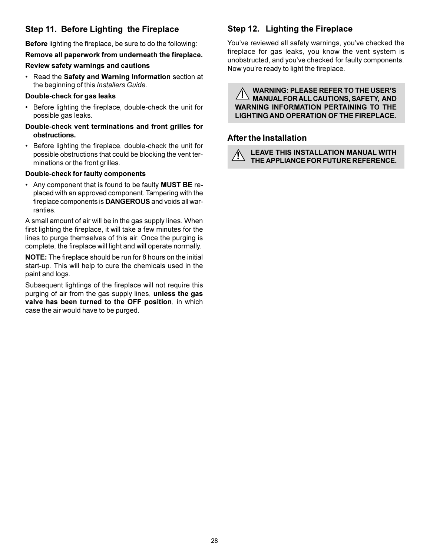# **Step 11. Before Lighting the Fireplace**

**Before** lighting the fireplace, be sure to do the following:

**Remove all paperwork from underneath the fireplace.**

### **Review safety warnings and cautions**

 Read the **Safety and Warning Information** section at the beginning of this *Installers Guide*.

### **Double-check for gas leaks**

- Before lighting the fireplace, double-check the unit for possible gas leaks.
- **Double-check vent terminations and front grilles for obstructions.**
- Before lighting the fireplace, double-check the unit for possible obstructions that could be blocking the vent terminations or the front grilles.

### **Double-check for faulty components**

 Any component that is found to be faulty **MUST BE** replaced with an approved component. Tampering with the fireplace components is **DANGEROUS** and voids all warranties.

A small amount of air will be in the gas supply lines. When first lighting the fireplace, it will take a few minutes for the lines to purge themselves of this air. Once the purging is complete, the fireplace will light and will operate normally.

**NOTE:** The fireplace should be run for 8 hours on the initial start-up. This will help to cure the chemicals used in the paint and logs.

Subsequent lightings of the fireplace will not require this purging of air from the gas supply lines, **unless the gas valve has been turned to the OFF position**, in which case the air would have to be purged.

# **Step 12. Lighting the Fireplace**

You've reviewed all safety warnings, you've checked the fireplace for gas leaks, you know the vent system is unobstructed, and you've checked for faulty components. Now you're ready to light the fireplace.

**! WARNING: PLEASE REFER TO THE USER'S MANUAL FOR ALL CAUTIONS, SAFETY, AND WARNING INFORMATION PERTAINING TO THE LIGHTING AND OPERATION OF THE FIREPLACE.**

### **After the Installation**

**!**

**LEAVE THIS INSTALLATION MANUAL WITH THE APPLIANCE FOR FUTURE REFERENCE.**